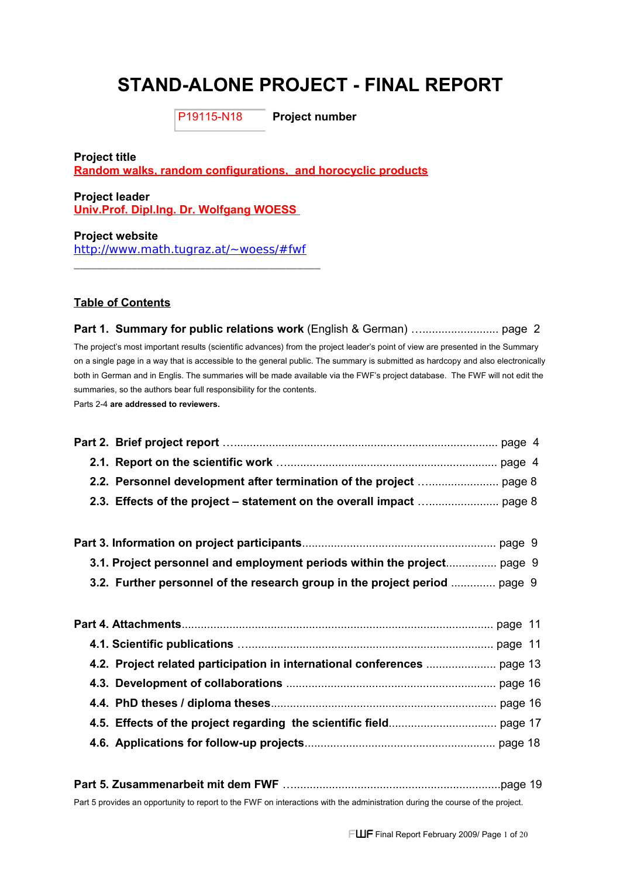# **STAND-ALONE PROJECT - FINAL REPORT**

P19115-N18

**Project number**

**Project title Random walks, random configurations, and horocyclic products**

**Project leader Univ.Prof. Dipl.Ing. Dr. Wolfgang WOESS** 

**Project website** <http://www.math.tugraz.at/~woess/#fwf>

**\_\_\_\_\_\_\_\_\_\_\_\_\_\_\_\_\_\_\_\_\_\_\_\_\_\_\_\_\_\_\_\_\_\_\_\_\_\_\_\_\_\_\_**

#### **Table of Contents**

## **Part 1. Summary for public relations work** (English & German) …........................ page 2 The project's most important results (scientific advances) from the project leader's point of view are presented in the Summary on a single page in a way that is accessible to the general public. The summary is submitted as hardcopy and also electronically both in German and in Englis. The summaries will be made available via the FWF's project database. The FWF will not edit the summaries, so the authors bear full responsibility for the contents. Parts 2-4 **are addressed to reviewers.**

| 3.1. Project personnel and employment periods within the project page 9    |  |
|----------------------------------------------------------------------------|--|
| 3.2. Further personnel of the research group in the project period  page 9 |  |
|                                                                            |  |
|                                                                            |  |
|                                                                            |  |
|                                                                            |  |
|                                                                            |  |
|                                                                            |  |
|                                                                            |  |
|                                                                            |  |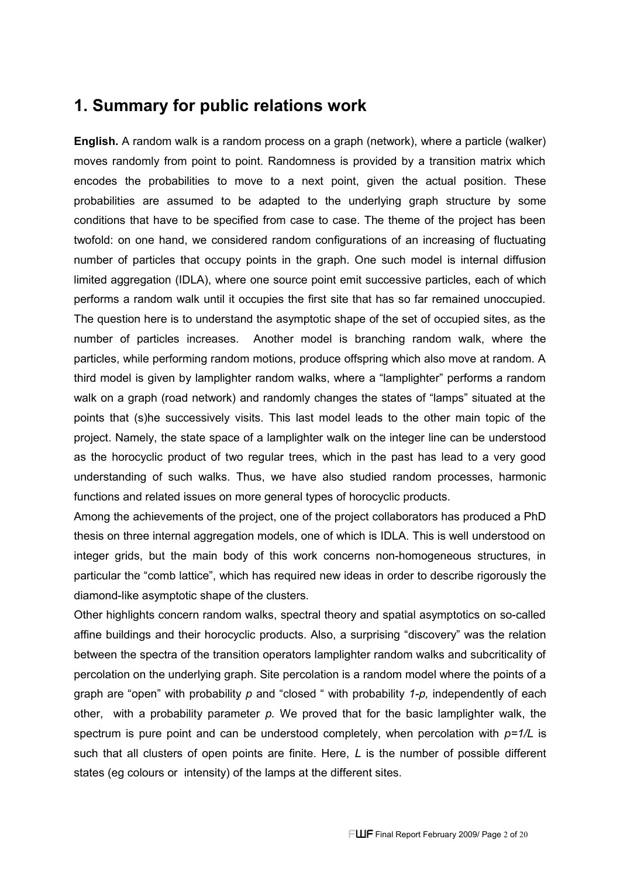## **1. Summary for public relations work**

**English.** A random walk is a random process on a graph (network), where a particle (walker) moves randomly from point to point. Randomness is provided by a transition matrix which encodes the probabilities to move to a next point, given the actual position. These probabilities are assumed to be adapted to the underlying graph structure by some conditions that have to be specified from case to case. The theme of the project has been twofold: on one hand, we considered random configurations of an increasing of fluctuating number of particles that occupy points in the graph. One such model is internal diffusion limited aggregation (IDLA), where one source point emit successive particles, each of which performs a random walk until it occupies the first site that has so far remained unoccupied. The question here is to understand the asymptotic shape of the set of occupied sites, as the number of particles increases. Another model is branching random walk, where the particles, while performing random motions, produce offspring which also move at random. A third model is given by lamplighter random walks, where a "lamplighter" performs a random walk on a graph (road network) and randomly changes the states of "lamps" situated at the points that (s)he successively visits. This last model leads to the other main topic of the project. Namely, the state space of a lamplighter walk on the integer line can be understood as the horocyclic product of two regular trees, which in the past has lead to a very good understanding of such walks. Thus, we have also studied random processes, harmonic functions and related issues on more general types of horocyclic products.

Among the achievements of the project, one of the project collaborators has produced a PhD thesis on three internal aggregation models, one of which is IDLA. This is well understood on integer grids, but the main body of this work concerns non-homogeneous structures, in particular the "comb lattice", which has required new ideas in order to describe rigorously the diamond-like asymptotic shape of the clusters.

Other highlights concern random walks, spectral theory and spatial asymptotics on so-called affine buildings and their horocyclic products. Also, a surprising "discovery" was the relation between the spectra of the transition operators lamplighter random walks and subcriticality of percolation on the underlying graph. Site percolation is a random model where the points of a graph are "open" with probability *p* and "closed " with probability *1-p,* independently of each other, with a probability parameter *p.* We proved that for the basic lamplighter walk, the spectrum is pure point and can be understood completely, when percolation with *p=1/L* is such that all clusters of open points are finite. Here, *L* is the number of possible different states (eg colours or intensity) of the lamps at the different sites.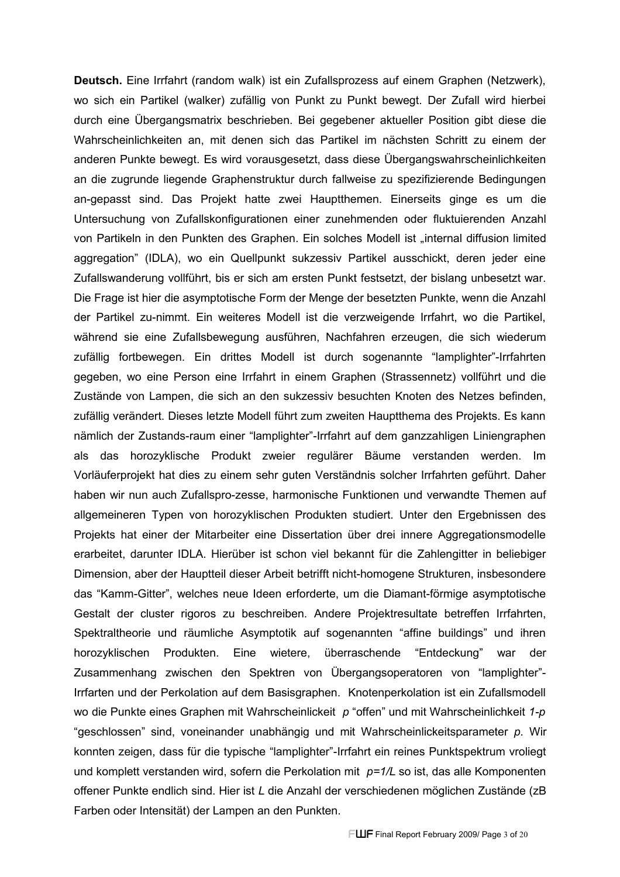**Deutsch.** Eine Irrfahrt (random walk) ist ein Zufallsprozess auf einem Graphen (Netzwerk), wo sich ein Partikel (walker) zufällig von Punkt zu Punkt bewegt. Der Zufall wird hierbei durch eine Übergangsmatrix beschrieben. Bei gegebener aktueller Position gibt diese die Wahrscheinlichkeiten an, mit denen sich das Partikel im nächsten Schritt zu einem der anderen Punkte bewegt. Es wird vorausgesetzt, dass diese Übergangswahrscheinlichkeiten an die zugrunde liegende Graphenstruktur durch fallweise zu spezifizierende Bedingungen an-gepasst sind. Das Projekt hatte zwei Hauptthemen. Einerseits ginge es um die Untersuchung von Zufallskonfigurationen einer zunehmenden oder fluktuierenden Anzahl von Partikeln in den Punkten des Graphen. Ein solches Modell ist "internal diffusion limited aggregation" (IDLA), wo ein Quellpunkt sukzessiv Partikel ausschickt, deren jeder eine Zufallswanderung vollführt, bis er sich am ersten Punkt festsetzt, der bislang unbesetzt war. Die Frage ist hier die asymptotische Form der Menge der besetzten Punkte, wenn die Anzahl der Partikel zu-nimmt. Ein weiteres Modell ist die verzweigende Irrfahrt, wo die Partikel, während sie eine Zufallsbewegung ausführen, Nachfahren erzeugen, die sich wiederum zufällig fortbewegen. Ein drittes Modell ist durch sogenannte "lamplighter"-Irrfahrten gegeben, wo eine Person eine Irrfahrt in einem Graphen (Strassennetz) vollführt und die Zustände von Lampen, die sich an den sukzessiv besuchten Knoten des Netzes befinden, zufällig verändert. Dieses letzte Modell führt zum zweiten Hauptthema des Projekts. Es kann nämlich der Zustands-raum einer "lamplighter"-Irrfahrt auf dem ganzzahligen Liniengraphen als das horozyklische Produkt zweier regulärer Bäume verstanden werden. Im Vorläuferprojekt hat dies zu einem sehr guten Verständnis solcher Irrfahrten geführt. Daher haben wir nun auch Zufallspro-zesse, harmonische Funktionen und verwandte Themen auf allgemeineren Typen von horozyklischen Produkten studiert. Unter den Ergebnissen des Projekts hat einer der Mitarbeiter eine Dissertation über drei innere Aggregationsmodelle erarbeitet, darunter IDLA. Hierüber ist schon viel bekannt für die Zahlengitter in beliebiger Dimension, aber der Hauptteil dieser Arbeit betrifft nicht-homogene Strukturen, insbesondere das "Kamm-Gitter", welches neue Ideen erforderte, um die Diamant-förmige asymptotische Gestalt der cluster rigoros zu beschreiben. Andere Projektresultate betreffen Irrfahrten, Spektraltheorie und räumliche Asymptotik auf sogenannten "affine buildings" und ihren horozyklischen Produkten. Eine wietere, überraschende "Entdeckung" war der Zusammenhang zwischen den Spektren von Übergangsoperatoren von "lamplighter"- Irrfarten und der Perkolation auf dem Basisgraphen. Knotenperkolation ist ein Zufallsmodell wo die Punkte eines Graphen mit Wahrscheinlickeit *p* "offen" und mit Wahrscheinlichkeit *1-p* "geschlossen" sind, voneinander unabhängig und mit Wahrscheinlickeitsparameter *p.* Wir konnten zeigen, dass für die typische "lamplighter"-Irrfahrt ein reines Punktspektrum vroliegt und komplett verstanden wird, sofern die Perkolation mit *p=1/L* so ist, das alle Komponenten offener Punkte endlich sind. Hier ist *L* die Anzahl der verschiedenen möglichen Zustände (zB Farben oder Intensität) der Lampen an den Punkten.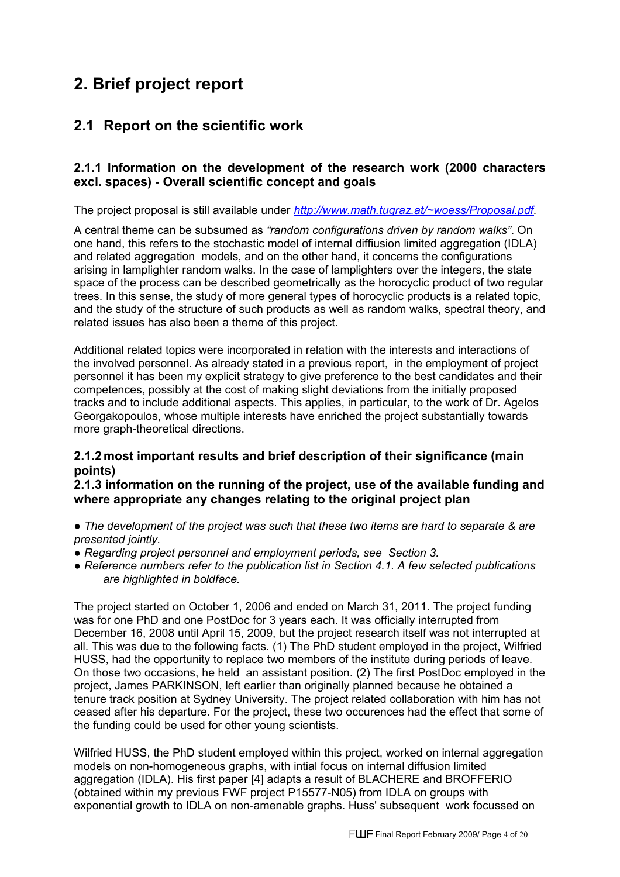# **2. Brief project report**

## **2.1 Report on the scientific work**

## **2.1.1 Information on the development of the research work (2000 characters excl. spaces) - Overall scientific concept and goals**

The project proposal is still available under *[http://www.math.tugraz.at/~woess/Proposal.pdf.](http://www.math.tugraz.at/~woess/Proposal.pdf)*

A central theme can be subsumed as *"random configurations driven by random walks"*. On one hand, this refers to the stochastic model of internal diffiusion limited aggregation (IDLA) and related aggregation models, and on the other hand, it concerns the configurations arising in lamplighter random walks. In the case of lamplighters over the integers, the state space of the process can be described geometrically as the horocyclic product of two regular trees. In this sense, the study of more general types of horocyclic products is a related topic, and the study of the structure of such products as well as random walks, spectral theory, and related issues has also been a theme of this project.

Additional related topics were incorporated in relation with the interests and interactions of the involved personnel. As already stated in a previous report, in the employment of project personnel it has been my explicit strategy to give preference to the best candidates and their competences, possibly at the cost of making slight deviations from the initially proposed tracks and to include additional aspects. This applies, in particular, to the work of Dr. Agelos Georgakopoulos, whose multiple interests have enriched the project substantially towards more graph-theoretical directions.

## **2.1.2most important results and brief description of their significance (main points)**

#### **2.1.3 information on the running of the project, use of the available funding and where appropriate any changes relating to the original project plan**

- *● The development of the project was such that these two items are hard to separate & are presented jointly.*
- *● Regarding project personnel and employment periods, see Section 3.*
- *● Reference numbers refer to the publication list in Section 4.1. A few selected publications are highlighted in boldface.*

The project started on October 1, 2006 and ended on March 31, 2011. The project funding was for one PhD and one PostDoc for 3 years each. It was officially interrupted from December 16, 2008 until April 15, 2009, but the project research itself was not interrupted at all. This was due to the following facts. (1) The PhD student employed in the project, Wilfried HUSS, had the opportunity to replace two members of the institute during periods of leave. On those two occasions, he held an assistant position. (2) The first PostDoc employed in the project, James PARKINSON, left earlier than originally planned because he obtained a tenure track position at Sydney University. The project related collaboration with him has not ceased after his departure. For the project, these two occurences had the effect that some of the funding could be used for other young scientists.

Wilfried HUSS, the PhD student employed within this project, worked on internal aggregation models on non-homogeneous graphs, with intial focus on internal diffusion limited aggregation (IDLA). His first paper [4] adapts a result of BLACHERE and BROFFERIO (obtained within my previous FWF project P15577-N05) from IDLA on groups with exponential growth to IDLA on non-amenable graphs. Huss' subsequent work focussed on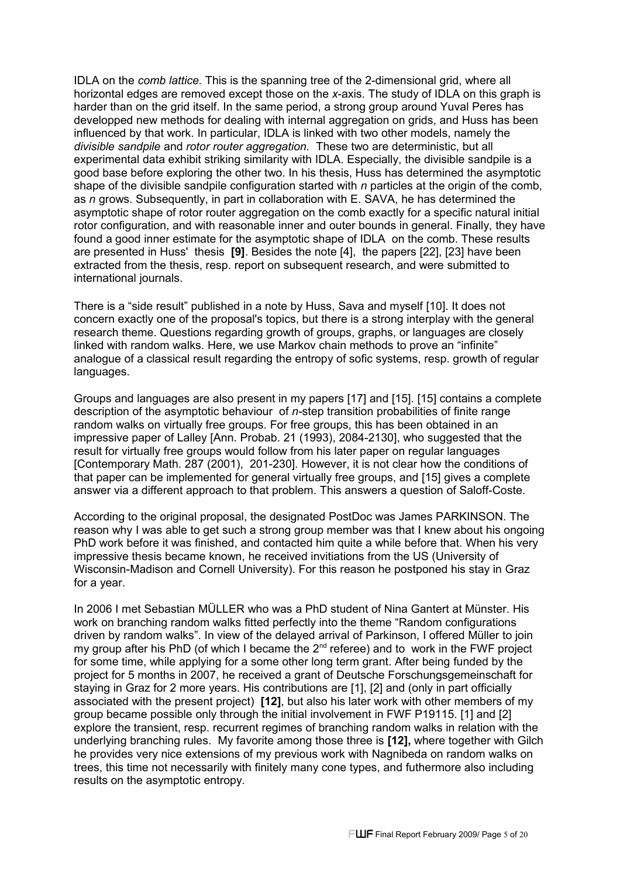IDLA on the *comb lattice.* This is the spanning tree of the 2-dimensional grid, where all horizontal edges are removed except those on the *x*-axis. The study of IDLA on this graph is harder than on the grid itself. In the same period, a strong group around Yuval Peres has developped new methods for dealing with internal aggregation on grids, and Huss has been influenced by that work. In particular, IDLA is linked with two other models, namely the *divisible sandpile* and *rotor router aggregation.* These two are deterministic, but all experimental data exhibit striking similarity with IDLA. Especially, the divisible sandpile is a good base before exploring the other two. In his thesis, Huss has determined the asymptotic shape of the divisible sandpile configuration started with *n* particles at the origin of the comb, as *n* grows. Subsequently, in part in collaboration with E. SAVA, he has determined the asymptotic shape of rotor router aggregation on the comb exactly for a specific natural initial rotor configuration, and with reasonable inner and outer bounds in general. Finally, they have found a good inner estimate for the asymptotic shape of IDLA on the comb. These results are presented in Huss' thesis **[9]**. Besides the note [4], the papers [22], [23] have been extracted from the thesis, resp. report on subsequent research, and were submitted to international journals.

There is a "side result" published in a note by Huss, Sava and myself [10]. It does not concern exactly one of the proposal's topics, but there is a strong interplay with the general research theme. Questions regarding growth of groups, graphs, or languages are closely linked with random walks. Here, we use Markov chain methods to prove an "infinite" analogue of a classical result regarding the entropy of sofic systems, resp. growth of regular languages.

Groups and languages are also present in my papers [17] and [15]. [15] contains a complete description of the asymptotic behaviour of *n-*step transition probabilities of finite range random walks on virtually free groups. For free groups, this has been obtained in an impressive paper of Lalley [Ann. Probab. 21 (1993), 2084-2130], who suggested that the result for virtually free groups would follow from his later paper on regular languages [Contemporary Math. 287 (2001), 201-230]. However, it is not clear how the conditions of that paper can be implemented for general virtually free groups, and [15] gives a complete answer via a different approach to that problem. This answers a question of Saloff-Coste.

According to the original proposal, the designated PostDoc was James PARKINSON. The reason why I was able to get such a strong group member was that I knew about his ongoing PhD work before it was finished, and contacted him quite a while before that. When his very impressive thesis became known, he received invitiations from the US (University of Wisconsin-Madison and Cornell University). For this reason he postponed his stay in Graz for a year.

In 2006 I met Sebastian MÜLLER who was a PhD student of Nina Gantert at Münster. His work on branching random walks fitted perfectly into the theme "Random configurations driven by random walks". In view of the delayed arrival of Parkinson, I offered Müller to join my group after his PhD (of which I became the  $2^{nd}$  referee) and to work in the FWF project for some time, while applying for a some other long term grant. After being funded by the project for 5 months in 2007, he received a grant of Deutsche Forschungsgemeinschaft for staying in Graz for 2 more years. His contributions are [1], [2] and (only in part officially associated with the present project) **[12]**, but also his later work with other members of my group became possible only through the initial involvement in FWF P19115. [1] and [2] explore the transient, resp. recurrent regimes of branching random walks in relation with the underlying branching rules. My favorite among those three is **[12],** where together with Gilch he provides very nice extensions of my previous work with Nagnibeda on random walks on trees, this time not necessarily with finitely many cone types, and futhermore also including results on the asymptotic entropy.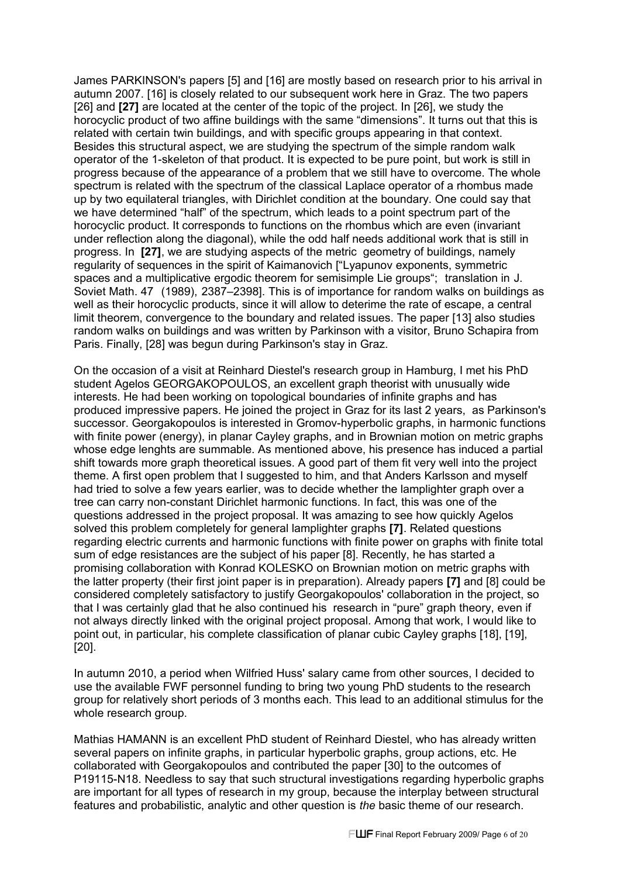James PARKINSON's papers [5] and [16] are mostly based on research prior to his arrival in autumn 2007. [16] is closely related to our subsequent work here in Graz. The two papers [26] and **[27]** are located at the center of the topic of the project. In [26], we study the horocyclic product of two affine buildings with the same "dimensions". It turns out that this is related with certain twin buildings, and with specific groups appearing in that context. Besides this structural aspect, we are studying the spectrum of the simple random walk operator of the 1-skeleton of that product. It is expected to be pure point, but work is still in progress because of the appearance of a problem that we still have to overcome. The whole spectrum is related with the spectrum of the classical Laplace operator of a rhombus made up by two equilateral triangles, with Dirichlet condition at the boundary. One could say that we have determined "half" of the spectrum, which leads to a point spectrum part of the horocyclic product. It corresponds to functions on the rhombus which are even (invariant under reflection along the diagonal), while the odd half needs additional work that is still in progress. In **[27]**, we are studying aspects of the metric geometry of buildings, namely regularity of sequences in the spirit of Kaimanovich ["Lyapunov exponents, symmetric spaces and a multiplicative ergodic theorem for semisimple Lie groups"; translation in J. Soviet Math. 47 (1989), 2387–2398]. This is of importance for random walks on buildings as well as their horocyclic products, since it will allow to deterime the rate of escape, a central limit theorem, convergence to the boundary and related issues. The paper [13] also studies random walks on buildings and was written by Parkinson with a visitor, Bruno Schapira from Paris. Finally, [28] was begun during Parkinson's stay in Graz.

On the occasion of a visit at Reinhard Diestel's research group in Hamburg, I met his PhD student Agelos GEORGAKOPOULOS, an excellent graph theorist with unusually wide interests. He had been working on topological boundaries of infinite graphs and has produced impressive papers. He joined the project in Graz for its last 2 years, as Parkinson's successor. Georgakopoulos is interested in Gromov-hyperbolic graphs, in harmonic functions with finite power (energy), in planar Cayley graphs, and in Brownian motion on metric graphs whose edge lenghts are summable. As mentioned above, his presence has induced a partial shift towards more graph theoretical issues. A good part of them fit very well into the project theme. A first open problem that I suggested to him, and that Anders Karlsson and myself had tried to solve a few years earlier, was to decide whether the lamplighter graph over a tree can carry non-constant Dirichlet harmonic functions. In fact, this was one of the questions addressed in the project proposal. It was amazing to see how quickly Agelos solved this problem completely for general lamplighter graphs **[7]**. Related questions regarding electric currents and harmonic functions with finite power on graphs with finite total sum of edge resistances are the subject of his paper [8]. Recently, he has started a promising collaboration with Konrad KOLESKO on Brownian motion on metric graphs with the latter property (their first joint paper is in preparation). Already papers **[7]** and [8] could be considered completely satisfactory to justify Georgakopoulos' collaboration in the project, so that I was certainly glad that he also continued his research in "pure" graph theory, even if not always directly linked with the original project proposal. Among that work, I would like to point out, in particular, his complete classification of planar cubic Cayley graphs [18], [19], [20].

In autumn 2010, a period when Wilfried Huss' salary came from other sources, I decided to use the available FWF personnel funding to bring two young PhD students to the research group for relatively short periods of 3 months each. This lead to an additional stimulus for the whole research group.

Mathias HAMANN is an excellent PhD student of Reinhard Diestel, who has already written several papers on infinite graphs, in particular hyperbolic graphs, group actions, etc. He collaborated with Georgakopoulos and contributed the paper [30] to the outcomes of P19115-N18. Needless to say that such structural investigations regarding hyperbolic graphs are important for all types of research in my group, because the interplay between structural features and probabilistic, analytic and other question is *the* basic theme of our research.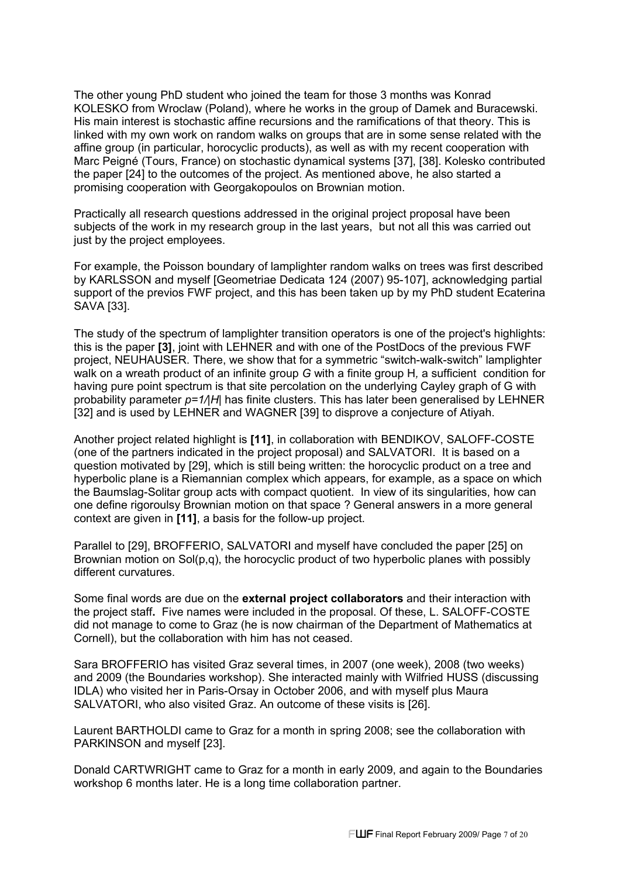The other young PhD student who joined the team for those 3 months was Konrad KOLESKO from Wroclaw (Poland), where he works in the group of Damek and Buracewski. His main interest is stochastic affine recursions and the ramifications of that theory. This is linked with my own work on random walks on groups that are in some sense related with the affine group (in particular, horocyclic products), as well as with my recent cooperation with Marc Peigné (Tours, France) on stochastic dynamical systems [37], [38]. Kolesko contributed the paper [24] to the outcomes of the project. As mentioned above, he also started a promising cooperation with Georgakopoulos on Brownian motion.

Practically all research questions addressed in the original project proposal have been subjects of the work in my research group in the last years, but not all this was carried out just by the project employees.

For example, the Poisson boundary of lamplighter random walks on trees was first described by KARLSSON and myself [Geometriae Dedicata 124 (2007) 95-107], acknowledging partial support of the previos FWF project, and this has been taken up by my PhD student Ecaterina SAVA [33].

The study of the spectrum of lamplighter transition operators is one of the project's highlights: this is the paper **[3]**, joint with LEHNER and with one of the PostDocs of the previous FWF project, NEUHAUSER. There, we show that for a symmetric "switch-walk-switch" lamplighter walk on a wreath product of an infinite group *G* with a finite group H*,* a sufficient condition for having pure point spectrum is that site percolation on the underlying Cayley graph of G with probability parameter *p=1/|H*| has finite clusters. This has later been generalised by LEHNER [32] and is used by LEHNER and WAGNER [39] to disprove a conjecture of Atiyah.

Another project related highlight is **[11]**, in collaboration with BENDIKOV, SALOFF-COSTE (one of the partners indicated in the project proposal) and SALVATORI. It is based on a question motivated by [29], which is still being written: the horocyclic product on a tree and hyperbolic plane is a Riemannian complex which appears, for example, as a space on which the Baumslag-Solitar group acts with compact quotient. In view of its singularities, how can one define rigoroulsy Brownian motion on that space ? General answers in a more general context are given in **[11]**, a basis for the follow-up project.

Parallel to [29], BROFFERIO, SALVATORI and myself have concluded the paper [25] on Brownian motion on Sol(p,q), the horocyclic product of two hyperbolic planes with possibly different curvatures.

Some final words are due on the **external project collaborators** and their interaction with the project staff**.** Five names were included in the proposal. Of these, L. SALOFF-COSTE did not manage to come to Graz (he is now chairman of the Department of Mathematics at Cornell), but the collaboration with him has not ceased.

Sara BROFFERIO has visited Graz several times, in 2007 (one week), 2008 (two weeks) and 2009 (the Boundaries workshop). She interacted mainly with Wilfried HUSS (discussing IDLA) who visited her in Paris-Orsay in October 2006, and with myself plus Maura SALVATORI, who also visited Graz. An outcome of these visits is [26].

Laurent BARTHOLDI came to Graz for a month in spring 2008; see the collaboration with PARKINSON and myself [23].

Donald CARTWRIGHT came to Graz for a month in early 2009, and again to the Boundaries workshop 6 months later. He is a long time collaboration partner.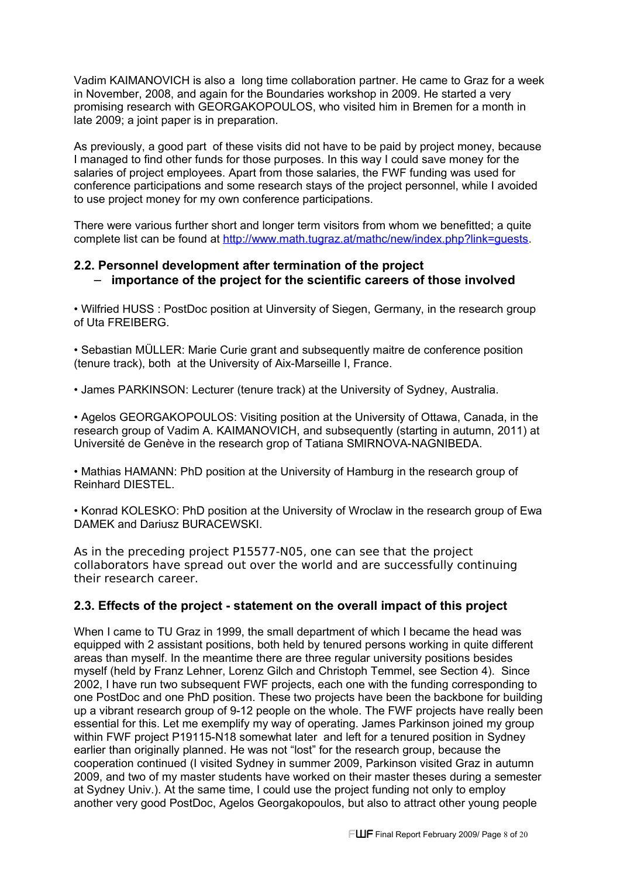Vadim KAIMANOVICH is also a long time collaboration partner. He came to Graz for a week in November, 2008, and again for the Boundaries workshop in 2009. He started a very promising research with GEORGAKOPOULOS, who visited him in Bremen for a month in late 2009; a joint paper is in preparation.

As previously, a good part of these visits did not have to be paid by project money, because I managed to find other funds for those purposes. In this way I could save money for the salaries of project employees. Apart from those salaries, the FWF funding was used for conference participations and some research stays of the project personnel, while I avoided to use project money for my own conference participations.

There were various further short and longer term visitors from whom we benefitted; a quite complete list can be found at http://www.math.tugraz.at/mathc/new/index.php?link=quests.

## **2.2. Personnel development after termination of the project** − **importance of the project for the scientific careers of those involved**

• Wilfried HUSS : PostDoc position at Uinversity of Siegen, Germany, in the research group of Uta FREIBERG.

• Sebastian MÜLLER: Marie Curie grant and subsequently maitre de conference position (tenure track), both at the University of Aix-Marseille I, France.

• James PARKINSON: Lecturer (tenure track) at the University of Sydney, Australia.

• Agelos GEORGAKOPOULOS: Visiting position at the University of Ottawa, Canada, in the research group of Vadim A. KAIMANOVICH, and subsequently (starting in autumn, 2011) at Université de Genève in the research grop of Tatiana SMIRNOVA-NAGNIBEDA.

• Mathias HAMANN: PhD position at the University of Hamburg in the research group of Reinhard DIESTEL.

• Konrad KOLESKO: PhD position at the University of Wroclaw in the research group of Ewa DAMEK and Dariusz BURACEWSKI.

As in the preceding project P15577-N05, one can see that the project collaborators have spread out over the world and are successfully continuing their research career.

## **2.3. Effects of the project - statement on the overall impact of this project**

When I came to TU Graz in 1999, the small department of which I became the head was equipped with 2 assistant positions, both held by tenured persons working in quite different areas than myself. In the meantime there are three regular university positions besides myself (held by Franz Lehner, Lorenz Gilch and Christoph Temmel, see Section 4). Since 2002, I have run two subsequent FWF projects, each one with the funding corresponding to one PostDoc and one PhD position. These two projects have been the backbone for building up a vibrant research group of 9-12 people on the whole. The FWF projects have really been essential for this. Let me exemplify my way of operating. James Parkinson joined my group within FWF project P19115-N18 somewhat later and left for a tenured position in Sydney earlier than originally planned. He was not "lost" for the research group, because the cooperation continued (I visited Sydney in summer 2009, Parkinson visited Graz in autumn 2009, and two of my master students have worked on their master theses during a semester at Sydney Univ.). At the same time, I could use the project funding not only to employ another very good PostDoc, Agelos Georgakopoulos, but also to attract other young people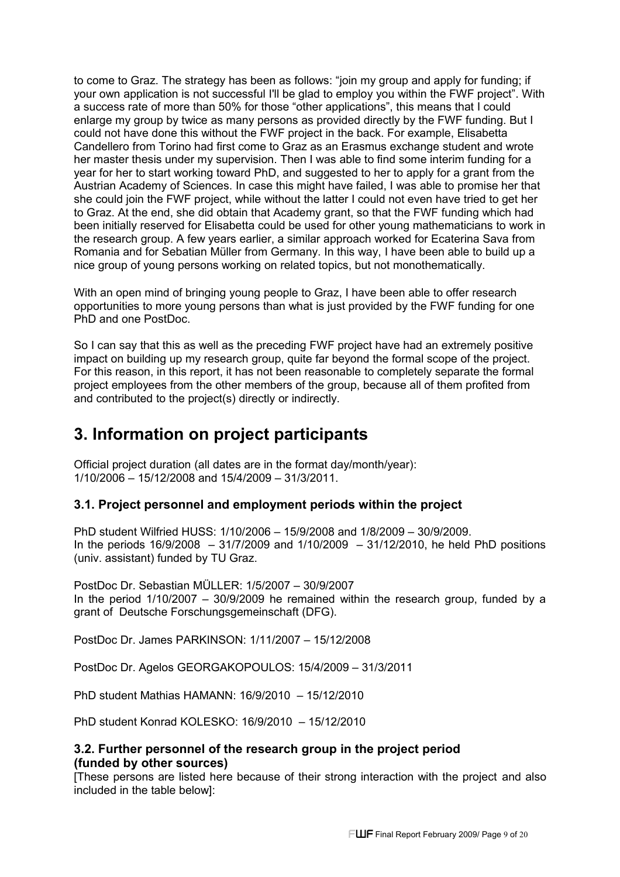to come to Graz. The strategy has been as follows: "join my group and apply for funding; if your own application is not successful I'll be glad to employ you within the FWF project". With a success rate of more than 50% for those "other applications", this means that I could enlarge my group by twice as many persons as provided directly by the FWF funding. But I could not have done this without the FWF project in the back. For example, Elisabetta Candellero from Torino had first come to Graz as an Erasmus exchange student and wrote her master thesis under my supervision. Then I was able to find some interim funding for a year for her to start working toward PhD, and suggested to her to apply for a grant from the Austrian Academy of Sciences. In case this might have failed, I was able to promise her that she could join the FWF project, while without the latter I could not even have tried to get her to Graz. At the end, she did obtain that Academy grant, so that the FWF funding which had been initially reserved for Elisabetta could be used for other young mathematicians to work in the research group. A few years earlier, a similar approach worked for Ecaterina Sava from Romania and for Sebatian Müller from Germany. In this way, I have been able to build up a nice group of young persons working on related topics, but not monothematically.

With an open mind of bringing young people to Graz, I have been able to offer research opportunities to more young persons than what is just provided by the FWF funding for one PhD and one PostDoc.

So I can say that this as well as the preceding FWF project have had an extremely positive impact on building up my research group, quite far beyond the formal scope of the project. For this reason, in this report, it has not been reasonable to completely separate the formal project employees from the other members of the group, because all of them profited from and contributed to the project(s) directly or indirectly.

## **3. Information on project participants**

Official project duration (all dates are in the format day/month/year): 1/10/2006 – 15/12/2008 and 15/4/2009 – 31/3/2011.

## **3.1. Project personnel and employment periods within the project**

PhD student Wilfried HUSS: 1/10/2006 – 15/9/2008 and 1/8/2009 – 30/9/2009. In the periods  $16/9/2008$  –  $31/7/2009$  and  $1/10/2009$  –  $31/12/2010$ , he held PhD positions (univ. assistant) funded by TU Graz.

PostDoc Dr. Sebastian MÜLLER: 1/5/2007 – 30/9/2007 In the period  $1/10/2007 - 30/9/2009$  he remained within the research group, funded by a grant of Deutsche Forschungsgemeinschaft (DFG).

PostDoc Dr. James PARKINSON: 1/11/2007 – 15/12/2008

PostDoc Dr. Agelos GEORGAKOPOULOS: 15/4/2009 – 31/3/2011

PhD student Mathias HAMANN: 16/9/2010 – 15/12/2010

PhD student Konrad KOLESKO: 16/9/2010 – 15/12/2010

## **3.2. Further personnel of the research group in the project period (funded by other sources)**

[These persons are listed here because of their strong interaction with the project and also included in the table below]: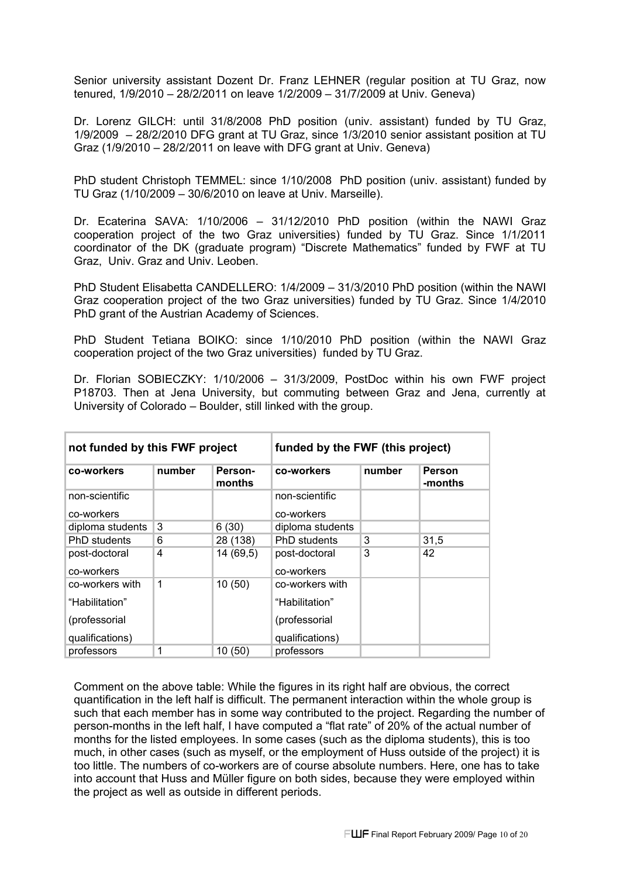Senior university assistant Dozent Dr. Franz LEHNER (regular position at TU Graz, now tenured, 1/9/2010 – 28/2/2011 on leave 1/2/2009 – 31/7/2009 at Univ. Geneva)

Dr. Lorenz GILCH: until 31/8/2008 PhD position (univ. assistant) funded by TU Graz, 1/9/2009 – 28/2/2010 DFG grant at TU Graz, since 1/3/2010 senior assistant position at TU Graz (1/9/2010 – 28/2/2011 on leave with DFG grant at Univ. Geneva)

PhD student Christoph TEMMEL: since 1/10/2008 PhD position (univ. assistant) funded by TU Graz (1/10/2009 – 30/6/2010 on leave at Univ. Marseille).

Dr. Ecaterina SAVA: 1/10/2006 – 31/12/2010 PhD position (within the NAWI Graz cooperation project of the two Graz universities) funded by TU Graz. Since 1/1/2011 coordinator of the DK (graduate program) "Discrete Mathematics" funded by FWF at TU Graz, Univ. Graz and Univ. Leoben.

PhD Student Elisabetta CANDELLERO: 1/4/2009 – 31/3/2010 PhD position (within the NAWI Graz cooperation project of the two Graz universities) funded by TU Graz. Since 1/4/2010 PhD grant of the Austrian Academy of Sciences.

PhD Student Tetiana BOIKO: since 1/10/2010 PhD position (within the NAWI Graz cooperation project of the two Graz universities) funded by TU Graz.

Dr. Florian SOBIECZKY: 1/10/2006 – 31/3/2009, PostDoc within his own FWF project P18703. Then at Jena University, but commuting between Graz and Jena, currently at University of Colorado – Boulder, still linked with the group.

| not funded by this FWF project |             | funded by the FWF (this project) |                     |        |                          |
|--------------------------------|-------------|----------------------------------|---------------------|--------|--------------------------|
| co-workers                     | number      | Person-<br>months                | co-workers          | number | <b>Person</b><br>-months |
| non-scientific                 |             |                                  | non-scientific      |        |                          |
| co-workers                     |             |                                  | co-workers          |        |                          |
| diploma students               | 3           | 6(30)                            | diploma students    |        |                          |
| PhD students                   | 6           | 28 (138)                         | <b>PhD</b> students | 3      | 31,5                     |
| post-doctoral                  | 4           | 14 (69,5)                        | post-doctoral       | 3      | 42                       |
| co-workers                     |             |                                  | co-workers          |        |                          |
| co-workers with                | $\mathbf 1$ | 10(50)                           | co-workers with     |        |                          |
| "Habilitation"                 |             |                                  | "Habilitation"      |        |                          |
| (professorial                  |             |                                  | (professorial)      |        |                          |
| qualifications)                |             |                                  | qualifications)     |        |                          |
| professors                     | 1           | 10(50)                           | professors          |        |                          |

Comment on the above table: While the figures in its right half are obvious, the correct quantification in the left half is difficult. The permanent interaction within the whole group is such that each member has in some way contributed to the project. Regarding the number of person-months in the left half, I have computed a "flat rate" of 20% of the actual number of months for the listed employees. In some cases (such as the diploma students), this is too much, in other cases (such as myself, or the employment of Huss outside of the project) it is too little. The numbers of co-workers are of course absolute numbers. Here, one has to take into account that Huss and Müller figure on both sides, because they were employed within the project as well as outside in different periods.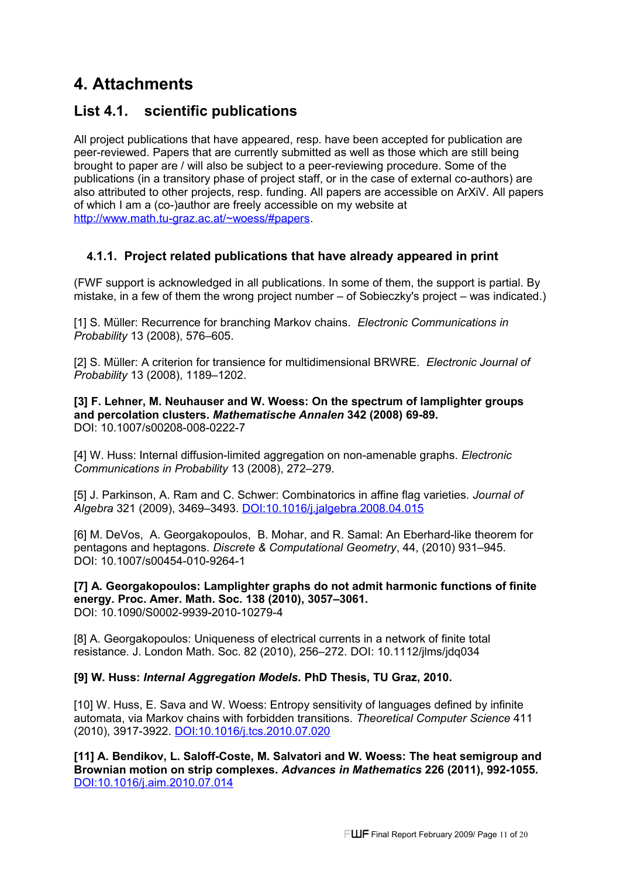# **4. Attachments**

## **List 4.1. scientific publications**

All project publications that have appeared, resp. have been accepted for publication are peer-reviewed. Papers that are currently submitted as well as those which are still being brought to paper are / will also be subject to a peer-reviewing procedure. Some of the publications (in a transitory phase of project staff, or in the case of external co-authors) are also attributed to other projects, resp. funding. All papers are accessible on ArXiV. All papers of which I am a (co-)author are freely accessible on my website at [http://www.math.tu-graz.ac.at/~woess/#papers.](http://www.math.tu-graz.ac.at/~woess/#papers)

## **4.1.1. Project related publications that have already appeared in print**

(FWF support is acknowledged in all publications. In some of them, the support is partial. By mistake, in a few of them the wrong project number – of Sobieczky's project – was indicated.)

[1] S. Müller: Recurrence for branching Markov chains. *Electronic Communications in Probability* 13 (2008), 576–605.

[2] S. Müller: A criterion for transience for multidimensional BRWRE. *Electronic Journal of Probability* 13 (2008), 1189–1202.

**[3] F. Lehner, M. Neuhauser and W. Woess: On the spectrum of lamplighter groups and percolation clusters.** *Mathematische Annalen* **342 (2008) 69-89.**  DOI: 10.1007/s00208-008-0222-7

[4] W. Huss: Internal diffusion-limited aggregation on non-amenable graphs. *Electronic Communications in Probability* 13 (2008), 272–279.

[5] J. Parkinson, A. Ram and C. Schwer: Combinatorics in affine flag varieties. *Journal of Algebra* 321 (2009), 3469–3493. [DOI:10.1016/j.jalgebra.2008.04.015](http://dx.doi.org/10.1016/j.jalgebra.2008.04.015)

[6] M. DeVos, A. Georgakopoulos, B. Mohar, and R. Samal: An Eberhard-like theorem for pentagons and heptagons. *Discrete & Computational Geometry*, 44, (2010) 931–945. DOI: 10.1007/s00454-010-9264-1

**[7] A. Georgakopoulos: Lamplighter graphs do not admit harmonic functions of finite energy. Proc. Amer. Math. Soc. 138 (2010), 3057–3061.**  DOI: 10.1090/S0002-9939-2010-10279-4

[8] A. Georgakopoulos: Uniqueness of electrical currents in a network of finite total resistance. J. London Math. Soc. 82 (2010), 256–272. DOI: 10.1112/jlms/jdq034

## **[9] W. Huss:** *Internal Aggregation Models.* **PhD Thesis, TU Graz, 2010.**

[10] W. Huss, E. Sava and W. Woess: Entropy sensitivity of languages defined by infinite automata, via Markov chains with forbidden transitions. *Theoretical Computer Science* 411 (2010), 3917-3922. [DOI:10.1016/j.tcs.2010.07.020](http://dx.doi.org/10.1016/j.tcs.2010.07.020)

**[11] A. Bendikov, L. Saloff-Coste, M. Salvatori and W. Woess: The heat semigroup and Brownian motion on strip complexes.** *Advances in Mathematics* **226 (2011), 992-1055.** [DOI:10.1016/j.aim.2010.07.014](http://dx.doi.org/10.1016/j.aim.2010.07.014)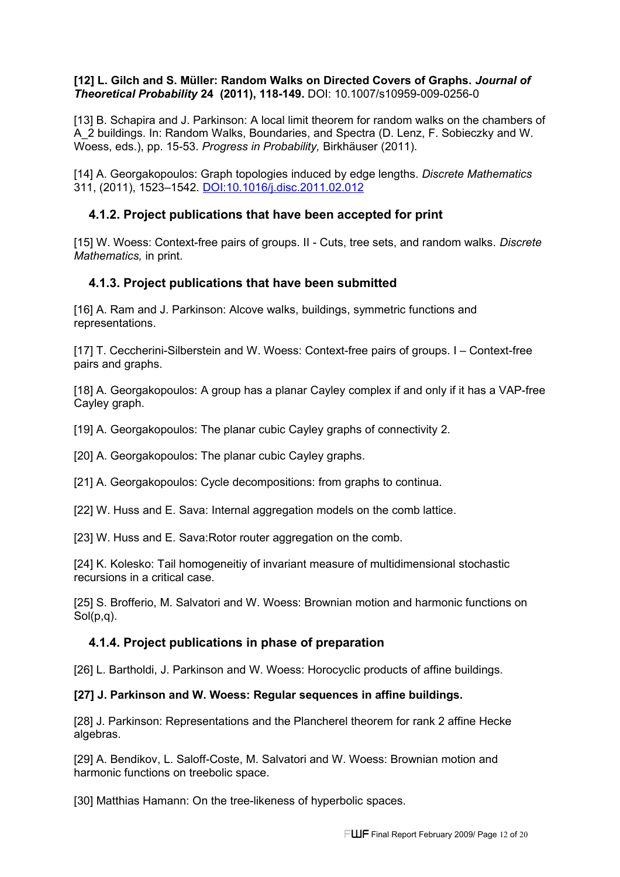#### **[12] L. Gilch and S. Müller: Random Walks on Directed Covers of Graphs.** *Journal of Theoretical Probability* **24 (2011), 118-149.** DOI: 10.1007/s10959-009-0256-0

[13] B. Schapira and J. Parkinson: A local limit theorem for random walks on the chambers of A\_2 buildings. In: Random Walks, Boundaries, and Spectra (D. Lenz, F. Sobieczky and W. Woess, eds.), pp. 15-53. *Progress in Probability,* Birkhäuser (2011).

[14] A. Georgakopoulos: Graph topologies induced by edge lengths. *Discrete Mathematics* 311, (2011), 1523–1542. [DOI:10.1016/j.disc.2011.02.012](http://ftubhan.tugraz.at/han/2951/dx.doi.org/10.1016/j.disc.2011.02.012)

## **4.1.2. Project publications that have been accepted for print**

[15] W. Woess: Context-free pairs of groups. II - Cuts, tree sets, and random walks. *Discrete Mathematics,* in print.

## **4.1.3. Project publications that have been submitted**

[16] A. Ram and J. Parkinson: Alcove walks, buildings, symmetric functions and representations.

[17] T. Ceccherini-Silberstein and W. Woess: Context-free pairs of groups. I – Context-free pairs and graphs.

[18] A. Georgakopoulos: A group has a planar Cayley complex if and only if it has a VAP-free Cayley graph.

[19] A. Georgakopoulos: The planar cubic Cayley graphs of connectivity 2.

[20] A. Georgakopoulos: The planar cubic Cayley graphs.

[21] A. Georgakopoulos: Cycle decompositions: from graphs to continua.

[22] W. Huss and E. Sava: Internal aggregation models on the comb lattice.

[23] W. Huss and E. Sava: Rotor router aggregation on the comb.

[24] K. Kolesko: Tail homogeneitiy of invariant measure of multidimensional stochastic recursions in a critical case.

[25] S. Brofferio, M. Salvatori and W. Woess: Brownian motion and harmonic functions on Sol(p,q).

## **4.1.4. Project publications in phase of preparation**

[26] L. Bartholdi, J. Parkinson and W. Woess: Horocyclic products of affine buildings.

#### **[27] J. Parkinson and W. Woess: Regular sequences in affine buildings.**

[28] J. Parkinson: Representations and the Plancherel theorem for rank 2 affine Hecke algebras.

[29] A. Bendikov, L. Saloff-Coste, M. Salvatori and W. Woess: Brownian motion and harmonic functions on treebolic space.

[30] Matthias Hamann: On the tree-likeness of hyperbolic spaces.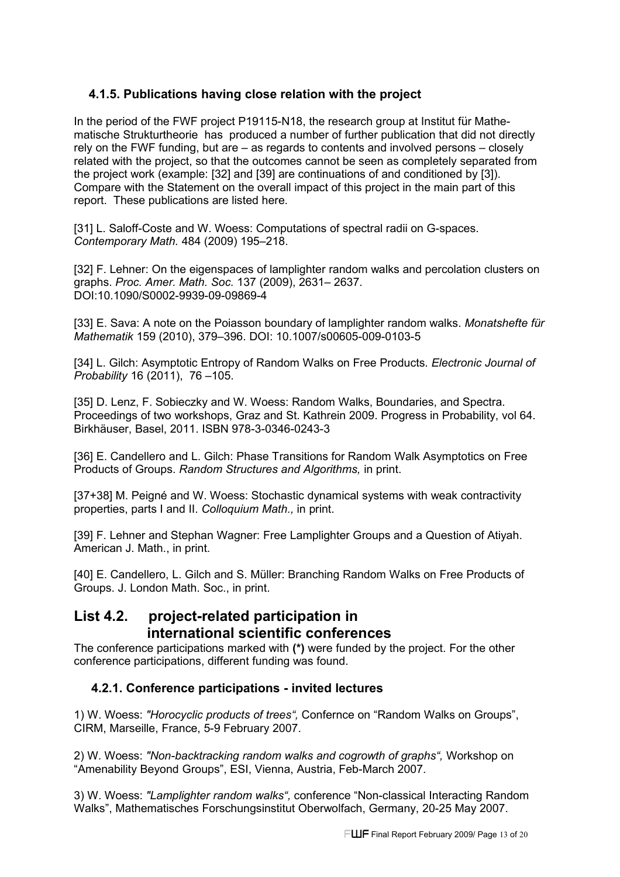## **4.1.5. Publications having close relation with the project**

In the period of the FWF project P19115-N18, the research group at Institut für Mathematische Strukturtheorie has produced a number of further publication that did not directly rely on the FWF funding, but are – as regards to contents and involved persons – closely related with the project, so that the outcomes cannot be seen as completely separated from the project work (example: [32] and [39] are continuations of and conditioned by [3]). Compare with the Statement on the overall impact of this project in the main part of this report. These publications are listed here.

[31] L. Saloff-Coste and W. Woess: Computations of spectral radii on G-spaces. *Contemporary Math.* 484 (2009) 195–218.

[32] F. Lehner: On the eigenspaces of lamplighter random walks and percolation clusters on graphs. *Proc. Amer. Math. Soc.* 137 (2009), 2631– 2637. DOI:10.1090/S0002-9939-09-09869-4

[33] E. Sava: A note on the Poiasson boundary of lamplighter random walks. *Monatshefte für Mathematik* 159 (2010), 379–396. DOI: 10.1007/s00605-009-0103-5

[34] L. Gilch: Asymptotic Entropy of Random Walks on Free Products. *Electronic Journal of Probability* 16 (2011), 76 –105.

[35] D. Lenz, F. Sobieczky and W. Woess: Random Walks, Boundaries, and Spectra. Proceedings of two workshops, Graz and St. Kathrein 2009. Progress in Probability, vol 64. Birkhäuser, Basel, 2011. ISBN 978-3-0346-0243-3

[36] E. Candellero and L. Gilch: Phase Transitions for Random Walk Asymptotics on Free Products of Groups. *Random Structures and Algorithms,* in print.

[37+38] M. Peigné and W. Woess: Stochastic dynamical systems with weak contractivity properties, parts I and II. *Colloquium Math.,* in print.

[39] F. Lehner and Stephan Wagner: Free Lamplighter Groups and a Question of Atiyah. American J. Math., in print.

[40] E. Candellero, L. Gilch and S. Müller: Branching Random Walks on Free Products of Groups. J. London Math. Soc., in print.

## **List 4.2. project-related participation in international scientific conferences**

The conference participations marked with **(\*)** were funded by the project. For the other conference participations, different funding was found.

## **4.2.1. Conference participations - invited lectures**

1) W. Woess: *"Horocyclic products of trees",* Confernce on "Random Walks on Groups", CIRM, Marseille, France, 5-9 February 2007.

2) W. Woess: *"Non-backtracking random walks and cogrowth of graphs",* Workshop on "Amenability Beyond Groups", ESI, Vienna, Austria, Feb-March 2007.

3) W. Woess: *"Lamplighter random walks",* conference "Non-classical Interacting Random Walks", Mathematisches Forschungsinstitut Oberwolfach, Germany, 20-25 May 2007.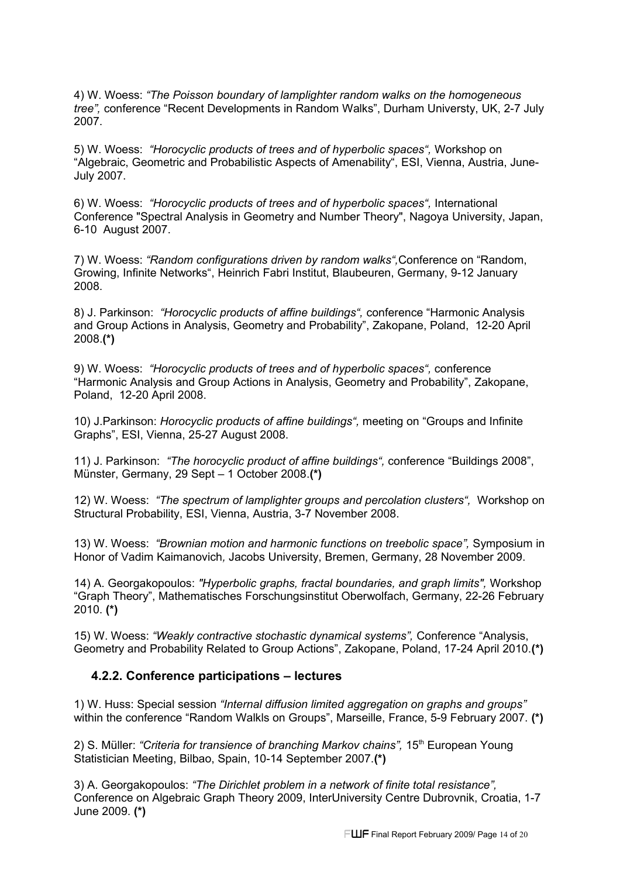4) W. Woess: *"The Poisson boundary of lamplighter random walks on the homogeneous tree",* conference "Recent Developments in Random Walks", Durham Universty, UK, 2-7 July 2007.

5) W. Woess: *"Horocyclic products of trees and of hyperbolic spaces",* Workshop on "Algebraic, Geometric and Probabilistic Aspects of Amenability", ESI, Vienna, Austria, June-July 2007.

6) W. Woess: *"Horocyclic products of trees and of hyperbolic spaces",* International Conference "Spectral Analysis in Geometry and Number Theory", Nagoya University, Japan, 6-10 August 2007.

7) W. Woess: *"Random configurations driven by random walks",*Conference on "Random, Growing, Infinite Networks", Heinrich Fabri Institut, Blaubeuren, Germany, 9-12 January 2008.

8) J. Parkinson: *"Horocyclic products of affine buildings",* conference "Harmonic Analysis and Group Actions in Analysis, Geometry and Probability", Zakopane, Poland, 12-20 April 2008.**(\*)**

9) W. Woess: *"Horocyclic products of trees and of hyperbolic spaces",* conference "Harmonic Analysis and Group Actions in Analysis, Geometry and Probability", Zakopane, Poland, 12-20 April 2008.

10) J.Parkinson: *Horocyclic products of affine buildings",* meeting on "Groups and Infinite Graphs", ESI, Vienna, 25-27 August 2008.

11) J. Parkinson: *"The horocyclic product of affine buildings",* conference "Buildings 2008", Münster, Germany, 29 Sept – 1 October 2008.**(\*)**

12) W. Woess: *"The spectrum of lamplighter groups and percolation clusters",* Workshop on Structural Probability, ESI, Vienna, Austria, 3-7 November 2008.

13) W. Woess: *"Brownian motion and harmonic functions on treebolic space",* Symposium in Honor of Vadim Kaimanovich*,* Jacobs University, Bremen, Germany, 28 November 2009.

14) A. Georgakopoulos: *"Hyperbolic graphs, fractal boundaries, and graph limits",* Workshop "Graph Theory", Mathematisches Forschungsinstitut Oberwolfach, Germany, 22-26 February 2010. **(\*)**

15) W. Woess: *"Weakly contractive stochastic dynamical systems",* Conference "Analysis, Geometry and Probability Related to Group Actions", Zakopane, Poland, 17-24 April 2010.**(\*)**

#### **4.2.2. Conference participations – lectures**

1) W. Huss: Special session *"Internal diffusion limited aggregation on graphs and groups"* within the conference "Random Walkls on Groups", Marseille, France, 5-9 February 2007. **(\*)**

2) S. Müller: *"Criteria for transience of branching Markov chains"*, 15<sup>th</sup> European Young Statistician Meeting, Bilbao, Spain, 10-14 September 2007.**(\*)**

3) A. Georgakopoulos: *"The Dirichlet problem in a network of finite total resistance",* Conference on Algebraic Graph Theory 2009, InterUniversity Centre Dubrovnik, Croatia, 1-7 June 2009. **(\*)**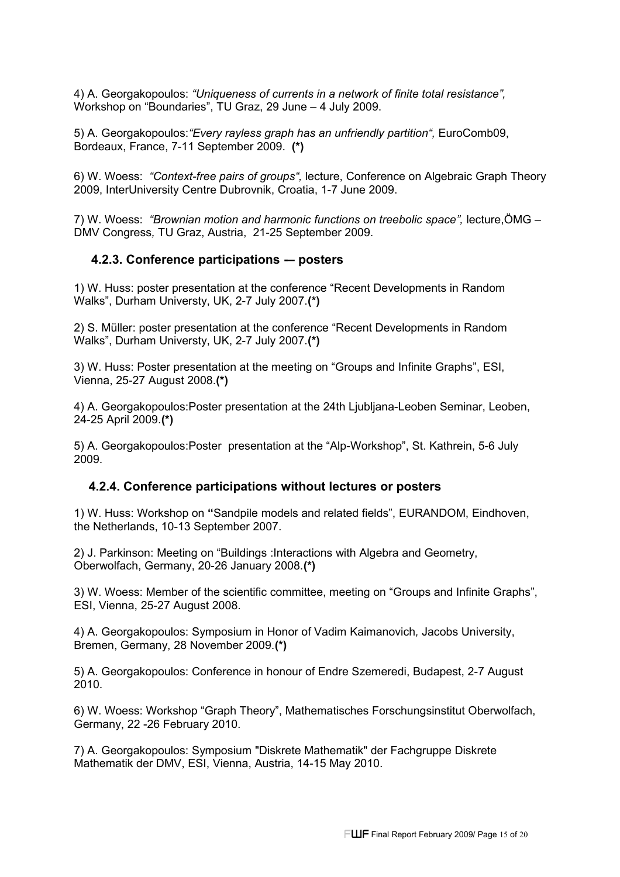4) A. Georgakopoulos: *"Uniqueness of currents in a network of finite total resistance",* Workshop on "Boundaries", TU Graz, 29 June – 4 July 2009.

5) A. Georgakopoulos:*"Every rayless graph has an unfriendly partition",* EuroComb09, Bordeaux, France, 7-11 September 2009. **(\*)**

6) W. Woess: *"Context-free pairs of groups",* lecture, Conference on Algebraic Graph Theory 2009, InterUniversity Centre Dubrovnik, Croatia, 1-7 June 2009.

7) W. Woess: *"Brownian motion and harmonic functions on treebolic space",* lecture,ÖMG – DMV Congress*,* TU Graz, Austria, 21-25 September 2009.

#### **4.2.3. Conference participations -– posters**

1) W. Huss: poster presentation at the conference "Recent Developments in Random Walks", Durham Universty, UK, 2-7 July 2007.**(\*)**

2) S. Müller: poster presentation at the conference "Recent Developments in Random Walks", Durham Universty, UK, 2-7 July 2007.**(\*)**

3) W. Huss: Poster presentation at the meeting on "Groups and Infinite Graphs", ESI, Vienna, 25-27 August 2008.**(\*)**

4) A. Georgakopoulos:Poster presentation at the 24th Ljubljana-Leoben Seminar, Leoben, 24-25 April 2009.**(\*)**

5) A. Georgakopoulos:Poster presentation at the "Alp-Workshop", St. Kathrein, 5-6 July 2009.

#### **4.2.4. Conference participations without lectures or posters**

1) W. Huss: Workshop on **"**Sandpile models and related fields", EURANDOM, Eindhoven, the Netherlands, 10-13 September 2007.

2) J. Parkinson: Meeting on "Buildings :Interactions with Algebra and Geometry, Oberwolfach, Germany, 20-26 January 2008.**(\*)**

3) W. Woess: Member of the scientific committee, meeting on "Groups and Infinite Graphs", ESI, Vienna, 25-27 August 2008.

4) A. Georgakopoulos: Symposium in Honor of Vadim Kaimanovich*,* Jacobs University, Bremen, Germany, 28 November 2009.**(\*)**

5) A. Georgakopoulos: Conference in honour of Endre Szemeredi, Budapest, 2-7 August 2010.

6) W. Woess: Workshop "Graph Theory", Mathematisches Forschungsinstitut Oberwolfach, Germany, 22 -26 February 2010.

7) A. Georgakopoulos: Symposium "Diskrete Mathematik" der Fachgruppe Diskrete Mathematik der DMV, ESI, Vienna, Austria, 14-15 May 2010.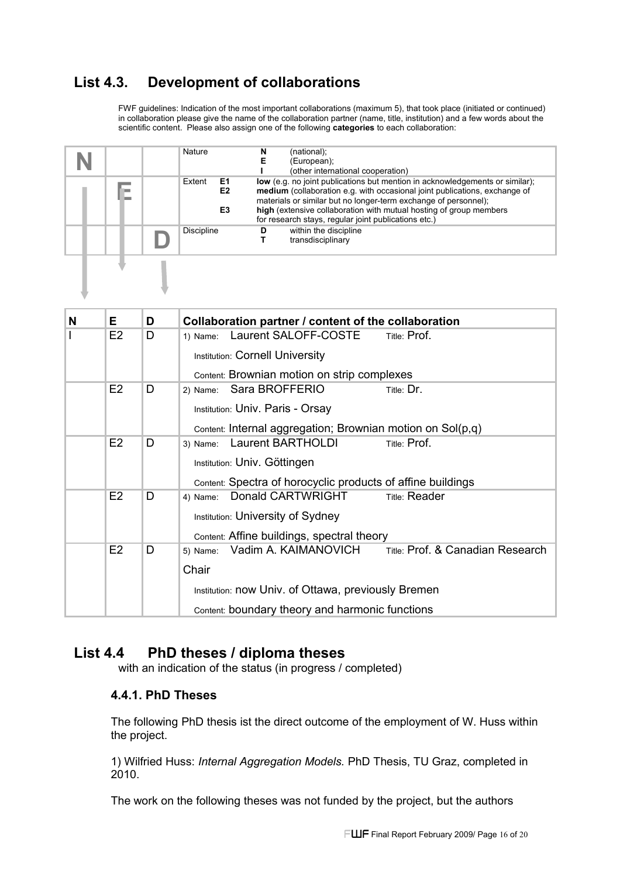## **List 4.3. Development of collaborations**

FWF guidelines: Indication of the most important collaborations (maximum 5), that took place (initiated or continued) in collaboration please give the name of the collaboration partner (name, title, institution) and a few words about the scientific content. Please also assign one of the following **categories** to each collaboration:

|  | Nature                   | (national);<br>N<br>Е<br>(European);<br>(other international cooperation)                                                                                                                                                                                                                                                                                   |
|--|--------------------------|-------------------------------------------------------------------------------------------------------------------------------------------------------------------------------------------------------------------------------------------------------------------------------------------------------------------------------------------------------------|
|  | Extent<br>E1<br>E2<br>E3 | low (e.g. no joint publications but mention in acknowledgements or similar);<br>medium (collaboration e.g. with occasional joint publications, exchange of<br>materials or similar but no longer-term exchange of personnel);<br>high (extensive collaboration with mutual hosting of group members<br>for research stays, regular joint publications etc.) |
|  | Discipline               | within the discipline<br>D<br>transdisciplinary                                                                                                                                                                                                                                                                                                             |
|  |                          |                                                                                                                                                                                                                                                                                                                                                             |

| N | Е              | D | Collaboration partner / content of the collaboration                 |
|---|----------------|---|----------------------------------------------------------------------|
|   | E2             | D | Laurent SALOFF-COSTE<br>Title: Prof.<br>1) Name:                     |
|   |                |   | <b>Institution: Cornell University</b>                               |
|   |                |   | Content: Brownian motion on strip complexes                          |
|   | E <sub>2</sub> | D | Sara BROFFERIO<br>Title: Dr.<br>2) Name:                             |
|   |                |   | Institution: Univ. Paris - Orsay                                     |
|   |                |   | Content: Internal aggregation; Brownian motion on $Sol(p,q)$         |
|   | E2             | D | Laurent BARTHOLDI<br>Title: Prof.<br>3) Name:                        |
|   |                |   | Institution: Univ. Göttingen                                         |
|   |                |   | Content: Spectra of horocyclic products of affine buildings          |
|   | E <sub>2</sub> | D | Donald CARTWRIGHT<br><b>Title: Reader</b><br>4) Name:                |
|   |                |   | <b>Institution: University of Sydney</b>                             |
|   |                |   | Content: Affine buildings, spectral theory                           |
|   | E2             | D | Title: Prof. & Canadian Research<br>Vadim A. KAIMANOVICH<br>5) Name: |
|   |                |   | Chair                                                                |
|   |                |   | Institution: now Univ. of Ottawa, previously Bremen                  |
|   |                |   | Content: boundary theory and harmonic functions                      |

## **List 4.4 PhD theses / diploma theses**

with an indication of the status (in progress / completed)

## **4.4.1. PhD Theses**

The following PhD thesis ist the direct outcome of the employment of W. Huss within the project.

1) Wilfried Huss: *Internal Aggregation Models.* PhD Thesis, TU Graz, completed in 2010.

The work on the following theses was not funded by the project, but the authors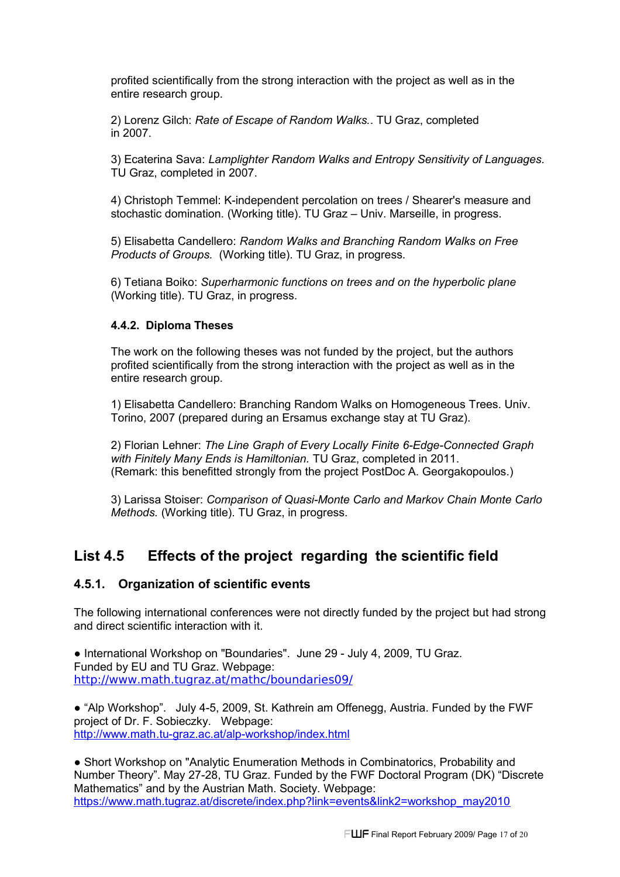profited scientifically from the strong interaction with the project as well as in the entire research group.

2) Lorenz Gilch: *Rate of Escape of Random Walks.*. TU Graz, completed in 2007.

3) Ecaterina Sava: *Lamplighter Random Walks and Entropy Sensitivity of Languages.* TU Graz, completed in 2007.

4) Christoph Temmel: K-independent percolation on trees / Shearer's measure and stochastic domination. (Working title). TU Graz – Univ. Marseille, in progress.

5) Elisabetta Candellero: *Random Walks and Branching Random Walks on Free Products of Groups.* (Working title). TU Graz, in progress.

6) Tetiana Boiko: *Superharmonic functions on trees and on the hyperbolic plane*  (Working title). TU Graz, in progress.

#### **4.4.2. Diploma Theses**

The work on the following theses was not funded by the project, but the authors profited scientifically from the strong interaction with the project as well as in the entire research group.

1) Elisabetta Candellero: Branching Random Walks on Homogeneous Trees. Univ. Torino, 2007 (prepared during an Ersamus exchange stay at TU Graz).

2) Florian Lehner: *The Line Graph of Every Locally Finite 6-Edge-Connected Graph with Finitely Many Ends is Hamiltonian.* TU Graz, completed in 2011. (Remark: this benefitted strongly from the project PostDoc A. Georgakopoulos.)

3) Larissa Stoiser: *Comparison of Quasi-Monte Carlo and Markov Chain Monte Carlo Methods.* (Working title). TU Graz, in progress.

## **List 4.5 Effects of the project regarding the scientific field**

#### **4.5.1. Organization of scientific events**

The following international conferences were not directly funded by the project but had strong and direct scientific interaction with it.

● International Workshop on "Boundaries". June 29 - July 4, 2009, TU Graz. Funded by EU and TU Graz. Webpage: http://www.math.tugraz.at/mathc/boundaries09/

● "Alp Workshop". July 4-5, 2009, St. Kathrein am Offenegg, Austria. Funded by the FWF project of Dr. F. Sobieczky. Webpage:  [http://www.math .](http://www.math.tugraz.at/mathc/boundaries09/)tu-graz.ac.at/alp-workshop/index.html

● Short Workshop on "Analytic Enumeration Methods in Combinatorics, Probability and Number Theory". May 27-28, TU Graz. Funded by the FWF Doctoral Program (DK) "Discrete Mathematics" and by the Austrian Math. Society. Webpage: https://www.math.tugraz.at/discrete/index.php?link=events&link2=workshop\_may2010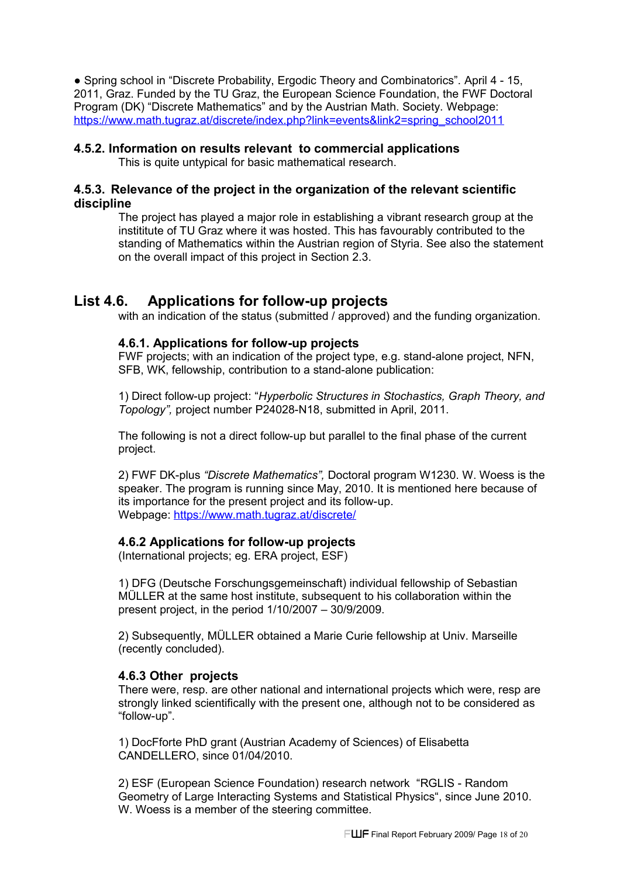● Spring school in "Discrete Probability, Ergodic Theory and Combinatorics". April 4 - 15, 2011, Graz. Funded by the TU Graz, the European Science Foundation, the FWF Doctoral Program (DK) "Discrete Mathematics" and by the Austrian Math. Society. Webpage: https://www.math.tugraz.at/discrete/index.php?link=events&link2=spring\_school2011

#### **4.5.2. Information on results relevant to commercial applications**

This is quite untypical for basic mathematical research.

### **4.5.3. Relevance of the project in the organization of the relevant scientific discipline**

The project has played a major role in establishing a vibrant research group at the instititute of TU Graz where it was hosted. This has favourably contributed to the standing of Mathematics within the Austrian region of Styria. See also the statement on the overall impact of this project in Section 2.3.

## **List 4.6. Applications for follow-up projects**

with an indication of the status (submitted / approved) and the funding organization.

## **4.6.1. Applications for follow-up projects**

FWF projects; with an indication of the project type, e.g. stand-alone project, NFN, SFB, WK, fellowship, contribution to a stand-alone publication:

1) Direct follow-up project: "*Hyperbolic Structures in Stochastics, Graph Theory, and Topology",* project number P24028-N18, submitted in April, 2011.

The following is not a direct follow-up but parallel to the final phase of the current project.

2) FWF DK-plus *"Discrete Mathematics",* Doctoral program W1230. W. Woess is the speaker. The program is running since May, 2010. It is mentioned here because of its importance for the present project and its follow-up. Webpage: https://www.math.tugraz.at/discrete/

## **4.6.2 Applications for follow-up projects**

(International projects; eg. ERA project, ESF)

1) DFG (Deutsche Forschungsgemeinschaft) individual fellowship of Sebastian MÜLLER at the same host institute, subsequent to his collaboration within the present project, in the period 1/10/2007 – 30/9/2009.

2) Subsequently, MÜLLER obtained a Marie Curie fellowship at Univ. Marseille (recently concluded).

## **4.6.3 Other projects**

There were, resp. are other national and international projects which were, resp are strongly linked scientifically with the present one, although not to be considered as "follow-up".

1) DocFforte PhD grant (Austrian Academy of Sciences) of Elisabetta CANDELLERO, since 01/04/2010.

2) ESF (European Science Foundation) research network "RGLIS - Random Geometry of Large Interacting Systems and Statistical Physics", since June 2010. W. Woess is a member of the steering committee.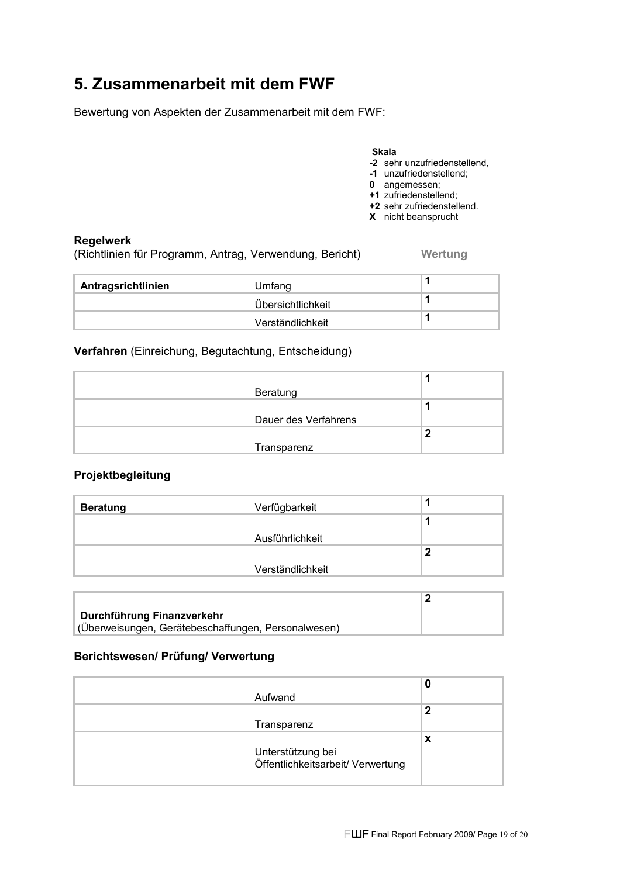# **5. Zusammenarbeit mit dem FWF**

Bewertung von Aspekten der Zusammenarbeit mit dem FWF:

#### **Skala**

- **-2** sehr unzufriedenstellend,
- **-1** unzufriedenstellend;
- **0** angemessen;
- **+1** zufriedenstellend;
- **+2** sehr zufriedenstellend.

## **X** nicht beansprucht

#### **Regelwerk**

(Richtlinien für Programm, Antrag, Verwendung, Bericht) **Wertung**

| Antragsrichtlinien | Umfang            |  |
|--------------------|-------------------|--|
|                    | Übersichtlichkeit |  |
|                    | Verständlichkeit  |  |

**Verfahren** (Einreichung, Begutachtung, Entscheidung)

| Beratung             |   |
|----------------------|---|
|                      |   |
| Dauer des Verfahrens |   |
|                      | л |
| Transparenz          |   |

#### **Projektbegleitung**

| <b>Beratung</b> | Verfügbarkeit    |  |
|-----------------|------------------|--|
|                 |                  |  |
|                 | Ausführlichkeit  |  |
|                 |                  |  |
|                 | Verständlichkeit |  |
|                 |                  |  |

| Durchführung Finanzverkehr                          |  |
|-----------------------------------------------------|--|
| (Überweisungen, Gerätebeschaffungen, Personalwesen) |  |

#### **Berichtswesen/ Prüfung/ Verwertung**

| Aufwand                                                | 0 |
|--------------------------------------------------------|---|
| Transparenz                                            | 2 |
| Unterstützung bei<br>Öffentlichkeitsarbeit/ Verwertung | x |